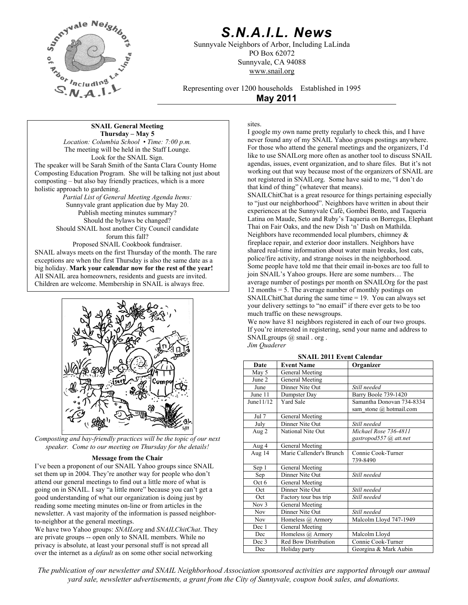

# *S.N.A.I.L. News*

Sunnyvale Neighbors of Arbor, Including LaLinda PO Box 62072 Sunnyvale, CA 94088 www.snail.org

Representing over 1200 households Established in 1995

**May 2011**

**SNAIL General Meeting Thursday – May 5**  *Location: Columbia School • Time: 7:00 p.m.* The meeting will be held in the Staff Lounge. Look for the SNAIL Sign. The speaker will be Sarah Smith of the Santa Clara County Home Composting Education Program. She will be talking not just about composting – but also bay friendly practices, which is a more holistic approach to gardening.

*Partial List of General Meeting Agenda Items:*  Sunnyvale grant application due by May 20. Publish meeting minutes summary? Should the bylaws be changed? Should SNAIL host another City Council candidate forum this fall? Proposed SNAIL Cookbook fundraiser. SNAIL always meets on the first Thursday of the month. The rare exceptions are when the first Thursday is also the same date as a big holiday. **Mark your calendar now for the rest of the year!**

All SNAIL area homeowners, residents and guests are invited. Children are welcome. Membership in SNAIL is always free.



*Composting and bay-friendly practices will be the topic of our next speaker. Come to our meeting on Thursday for the details!*

## **Message from the Chair**

I've been a proponent of our SNAIL Yahoo groups since SNAIL set them up in 2004. They're another way for people who don't attend our general meetings to find out a little more of what is going on in SNAIL. I say "a little more" because you can't get a good understanding of what our organization is doing just by reading some meeting minutes on-line or from articles in the newsletter. A vast majority of the information is passed neighborto-neighbor at the general meetings.

We have two Yahoo groups: *SNAILorg* and *SNAILChitChat*. They are private groups -- open only to SNAIL members. While no privacy is absolute, at least your personal stuff is not spread all over the internet as a *default* as on some other social networking

sites.

I google my own name pretty regularly to check this, and I have never found any of my SNAIL Yahoo groups postings anywhere. For those who attend the general meetings and the organizers, I'd like to use SNAILorg more often as another tool to discuss SNAIL agendas, issues, event organization, and to share files. But it's not working out that way because most of the organizers of SNAIL are not registered in SNAILorg. Some have said to me, "I don't do that kind of thing" (whatever that means).

SNAILChitChat is a great resource for things pertaining especially to "just our neighborhood". Neighbors have written in about their experiences at the Sunnyvale Café, Gombei Bento, and Taqueria Latina on Maude, Seto and Ruby's Taqueria on Borregas, Elephant Thai on Fair Oaks, and the new Dish 'n' Dash on Mathilda. Neighbors have recommended local plumbers, chimney & fireplace repair, and exterior door installers. Neighbors have shared real-time information about water main breaks, lost cats, police/fire activity, and strange noises in the neighborhood. Some people have told me that their email in-boxes are too full to join SNAIL's Yahoo groups. Here are some numbers… The average number of postings per month on SNAILOrg for the past 12 months = 5. The average number of monthly postings on SNAILChitChat during the same time = 19. You can always set your delivery settings to "no email" if there ever gets to be too much traffic on these newsgroups.

We now have 81 neighbors registered in each of our two groups. If you're interested in registering, send your name and address to SNAILgroups @ snail . org .

*Jim Quaderer*

| Date             | <b>Event Name</b>           | Organizer                 |
|------------------|-----------------------------|---------------------------|
| May 5            | General Meeting             |                           |
| June 2           | General Meeting             |                           |
| June             | Dinner Nite Out             | Still needed              |
| June 11          | Dumpster Day                | Barry Boole 739-1420      |
| June11/12        | <b>Yard Sale</b>            | Samantha Donovan 734-8334 |
|                  |                             | sam_stone @ hotmail.com   |
| Jul 7            | General Meeting             |                           |
| July             | Dinner Nite Out             | Still needed              |
| Aug 2            | National Nite Out           | Michael Rose 736-4811     |
|                  |                             | gastropod557 @ att.net    |
| Aug 4            | General Meeting             |                           |
| Aug 14           | Marie Callender's Brunch    | Connie Cook-Turner        |
|                  |                             | 739-8490                  |
| Sep 1            | General Meeting             |                           |
| Sep              | Dinner Nite Out             | Still needed              |
| Oct 6            | General Meeting             |                           |
| Oct              | Dinner Nite Out             | Still needed              |
| Oct              | Factory tour bus trip       | Still needed              |
| Nov <sub>3</sub> | General Meeting             |                           |
| Nov              | Dinner Nite Out             | Still needed              |
| Nov              | Homeless @ Armory           | Malcolm Lloyd 747-1949    |
| Dec 1            | General Meeting             |                           |
| Dec              | Homeless @ Armory           | Malcolm Lloyd             |
| Dec 3            | <b>Red Bow Distribution</b> | Connie Cook-Turner        |
| Dec              | Holiday party               | Georgina & Mark Aubin     |

**SNAIL 2011 Event Calendar**

*The publication of our newsletter and SNAIL Neighborhood Association sponsored activities are supported through our annual yard sale, newsletter advertisements, a grant from the City of Sunnyvale, coupon book sales, and donations.*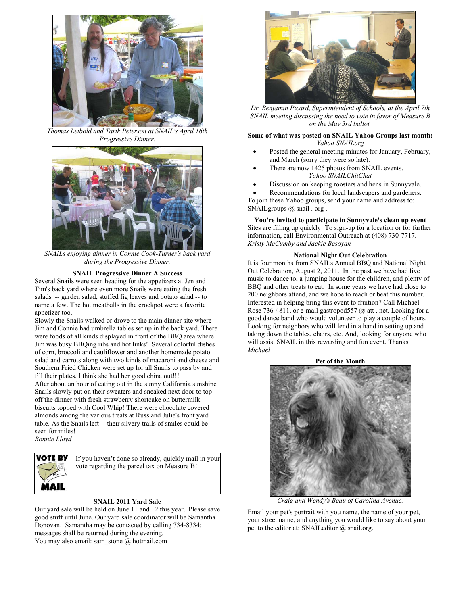

*Thomas Leibold and Tarik Peterson at SNAIL's April 16th* 



*SNAILs enjoying dinner in Connie Cook-Turner's back yard during the Progressive Dinner.*

## **SNAIL Progressive Dinner A Success**

Several Snails were seen heading for the appetizers at Jen and Tim's back yard where even more Snails were eating the fresh salads -- garden salad, stuffed fig leaves and potato salad -- to name a few. The hot meatballs in the crockpot were a favorite appetizer too.

Slowly the Snails walked or drove to the main dinner site where Jim and Connie had umbrella tables set up in the back yard. There were foods of all kinds displayed in front of the BBQ area where Jim was busy BBQing ribs and hot links! Several colorful dishes of corn, broccoli and cauliflower and another homemade potato salad and carrots along with two kinds of macaroni and cheese and Southern Fried Chicken were set up for all Snails to pass by and fill their plates. I think she had her good china out!!! After about an hour of eating out in the sunny California sunshine Snails slowly put on their sweaters and sneaked next door to top off the dinner with fresh strawberry shortcake on buttermilk biscuits topped with Cool Whip! There were chocolate covered almonds among the various treats at Russ and Julie's front yard table. As the Snails left -- their silvery trails of smiles could be seen for miles! *Bonnie Lloyd* 



If you haven't done so already, quickly mail in your vote regarding the parcel tax on Measure B!

Our yard sale will be held on June 11 and 12 this year. Please save good stuff until June. Our yard sale coordinator will be Samantha Donovan. Samantha may be contacted by calling 734-8334; messages shall be returned during the evening. You may also email: sam\_stone  $@$  hotmail.com



*Dr. Benjamin Picard, Superintendent of Schools, at the April 7th SNAIL meeting discussing the need to vote in favor of Measure B on the May 3rd ballot.*

### *Progressive Dinner.* **Some of what was posted on SNAIL Yahoo Groups last month:**  *Yahoo SNAILorg*

- Posted the general meeting minutes for January, February, and March (sorry they were so late).
- There are now 1425 photos from SNAIL events. *Yahoo SNAILChitChat*
- Discussion on keeping roosters and hens in Sunnyvale.

Recommendations for local landscapers and gardeners. To join these Yahoo groups, send your name and address to:

SNAILgroups @ snail . org .

**You're invited to participate in Sunnyvale's clean up event** Sites are filling up quickly! To sign-up for a location or for further information, call Environmental Outreach at (408) 730-7717. *Kristy McCumby and Jackie Besoyan*

# **National Night Out Celebration**

It is four months from SNAILs Annual BBQ and National Night Out Celebration, August 2, 2011. In the past we have had live music to dance to, a jumping house for the children, and plenty of BBQ and other treats to eat. In some years we have had close to 200 neighbors attend, and we hope to reach or beat this number. Interested in helping bring this event to fruition? Call Michael Rose 736-4811, or e-mail gastropod557 @ att . net. Looking for a good dance band who would volunteer to play a couple of hours. Looking for neighbors who will lend in a hand in setting up and taking down the tables, chairs, etc. And, looking for anyone who will assist SNAIL in this rewarding and fun event. Thanks *Michael* 



**SNAIL 2011 Yard Sale** *Craig and Wendy's Beau of Carolina Avenue.* 

Email your pet's portrait with you name, the name of your pet, your street name, and anything you would like to say about your pet to the editor at: SNAILeditor  $\omega$  snail.org.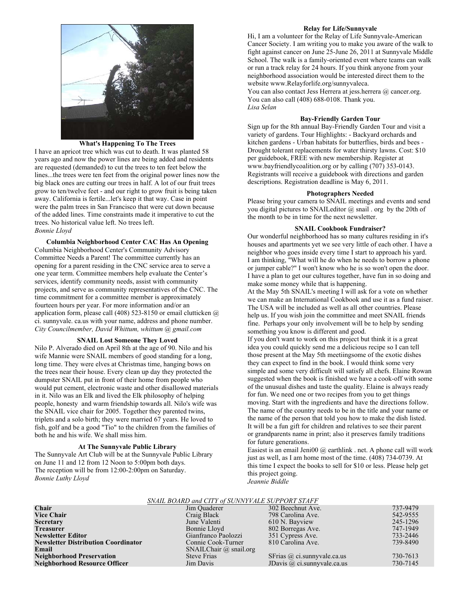

### **What's Happening To The Trees**

I have an apricot tree which was cut to death. It was planted 58 years ago and now the power lines are being added and residents are requested (demanded) to cut the trees to ten feet below the lines...the trees were ten feet from the original power lines now the big black ones are cutting our trees in half. A lot of our fruit trees grow to ten/twelve feet - and our right to grow fruit is being taken away. California is fertile...let's keep it that way. Case in point were the palm trees in San Francisco that were cut down because of the added lines. Time constraints made it imperative to cut the trees. No historical value left. No trees left. **Bonnie Lloyd SNAIL Cookbook Fundraiser? SNAIL Cookbook Fundraiser SNAIL Cookbook Fundraiser SNAIL Cookbook** Fundraiser *Bonnie Lloyd* **Our wonderful neighborhood has so many cultures residing in it's** 

Columbia Neighborhood Center's Community Advisory Committee Needs a Parent! The committee currently has an opening for a parent residing in the CNC service area to serve a one year term. Committee members help evaluate the Center's services, identify community needs, assist with community projects, and serve as community representatives of the CNC. The time commitment for a committee member is approximately fourteen hours per year. For more information and/or an application form, please call (408) 523-8150 or email clutticken  $\omega$ ci. sunnyvale. ca.us with your name, address and phone number. something you know is different and good. *City Councilmember, David Whittum, whittum @ gmail.com* 

Nilo P. Alverado died on April 8th at the age of 90. Nilo and his wife Mannie were SNAIL members of good standing for a long, long time. They were elves at Christmas time, hanging bows on the trees near their house. Every clean up day they protected the dumpster SNAIL put in front of their home from people who would put cement, electronic waste and other disallowed materials in it. Nilo was an Elk and lived the Elk philosophy of helping people, honesty and warm friendship towards all. Nilo's wife was the SNAIL vice chair for 2005. Together they parented twins, triplets and a solo birth; they were married 67 years. He loved to fish, golf and be a good "Tio" to the children from the families of both he and his wife. We shall miss him.

The Sunnyvale Art Club will be at the Sunnyvale Public Library on June 11 and 12 from 12 Noon to 5:00pm both days. The reception will be from 12:00-2:00pm on Saturday. *Bonnie Luthy Lloyd Jeannie Biddle*

### **Relay for Life/Sunnyvale**

Hi, I am a volunteer for the Relay of Life Sunnyvale-American Cancer Society. I am writing you to make you aware of the walk to fight against cancer on June 25-June 26, 2011 at Sunnyvale Middle School. The walk is a family-oriented event where teams can walk or run a track relay for 24 hours. If you think anyone from your neighborhood association would be interested direct them to the website www.Relayforlife.org/sunnyvaleca.

You can also contact Jess Herrera at jess.herrera @ cancer.org. You can also call (408) 688-0108. Thank you. *Lisa Selan* 

### **Bay-Friendly Garden Tour**

Sign up for the 8th annual Bay-Friendly Garden Tour and visit a variety of gardens. Tour Highlights: - Backyard orchards and kitchen gardens - Urban habitats for butterflies, birds and bees - Drought tolerant replacements for water thirsty lawns. Cost: \$10 per guidebook, FREE with new membership. Register at www.bayfriendlycoalition.org or by calling (707) 353-0143. Registrants will receive a guidebook with directions and garden descriptions. Registration deadline is May 6, 2011.

### **Photographers Needed**

Please bring your camera to SNAIL meetings and events and send you digital pictures to SNAILeditor @ snail . org by the 20th of the month to be in time for the next newsletter.

**Columbia Neighborhood Center CAC Has An Opening** houses and apartments yet we see very little of each other. I have a neighbor who goes inside every time I start to approach his yard. I am thinking, "What will he do when he needs to borrow a phone or jumper cable?" I won't know who he is so won't open the door. I have a plan to get our cultures together, have fun in so doing and make some money while that is happening.

> At the May 5th SNAIL's meeting I will ask for a vote on whether we can make an International Cookbook and use it as a fund raiser. The USA will be included as well as all other countries. Please help us. If you wish join the committee and meet SNAIL friends fine. Perhaps your only involvement will be to help by sending

**SNAIL Lost Someone They Loved If you don't want to work on this project but think it is a great** idea you could quickly send me a delicious recipe so I can tell those present at the May 5th meetiingsome of the exotic dishes they can expect to find in the book. I would think some very simple and some very difficult will satisfy all chefs. Elaine Rowan suggested when the book is finished we have a cook-off with some of the unusual dishes and taste the quality. Elaine is always ready for fun. We need one or two recipes from you to get things moving. Start with the ingredients and have the directions follow. The name of the country needs to be in the title and your name or the name of the person that told you how to make the dish listed. It will be a fun gift for children and relatives to see their parent or grandparents name in print; also it preserves family traditions **At The Sunnyvale Public Library** for future generations.<br>
Easiest is an email Jeni00 @ earthlink . net. A phone call will work

just as well, as I am home most of the time. (408) 734-0739. At this time I expect the books to sell for \$10 or less. Please help get this project going.

|                 | SNAIL BOARD and CITY of SUNNYVALE SUPPORT STAFF |                           |                      |
|-----------------|-------------------------------------------------|---------------------------|----------------------|
| Chair           | Jim Quaderer                                    | 302 Beechnut Ave.         | 737-9479             |
| <b>***</b> CI * | $\alpha$ $\alpha$ $\alpha$ $\beta$              | $700 \times 1$ $\sqrt{1}$ | $F A \Omega R F F F$ |

| Спан                                       | JIIII QUAUCICI                | 302 Decemiul Ave.                  | $131 - 9419$ |
|--------------------------------------------|-------------------------------|------------------------------------|--------------|
| <b>Vice Chair</b>                          | Craig Black                   | 798 Carolina Ave.                  | 542-9555     |
| <b>Secretary</b>                           | June Valenti                  | 610 N. Bayview                     | 245-1296     |
| <b>Treasurer</b>                           | Bonnie Lloyd                  | 802 Borregas Ave.                  | 747-1949     |
| <b>Newsletter Editor</b>                   | Gianfranco Paolozzi           | 351 Cypress Ave.                   | 733-2446     |
| <b>Newsletter Distribution Coordinator</b> | Connie Cook-Turner            | 810 Carolina Ave.                  | 739-8490     |
| Email                                      | SNAILChair $\omega$ snail.org |                                    |              |
| <b>Neighborhood Preservation</b>           | <b>Steve Frias</b>            | SFrias $\omega$ ci.sunnyvale.ca.us | 730-7613     |
| <b>Neighborhood Resource Officer</b>       | Jim Davis                     | JDavis $\omega$ ci.sunnyvale.ca.us | 730-7145     |
|                                            |                               |                                    |              |